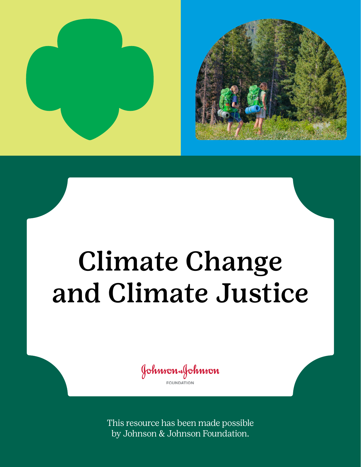



# Climate Change and Climate Justice

Johnson&Johnson **FOUNDATION** 

This resource has been made possible by Johnson & Johnson Foundation.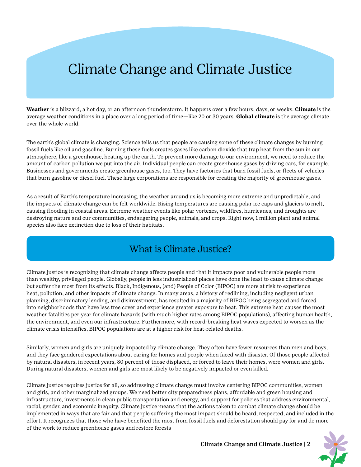## Climate Change and Climate Justice

**Weather** is a blizzard, a hot day, or an afternoon thunderstorm. It happens over a few hours, days, or weeks. **Climate** is the average weather conditions in a place over a long period of time—like 20 or 30 years. **Global climate** is the average climate over the whole world.

The earth's global climate is changing. Science tells us that people are causing some of these climate changes by burning fossil fuels like oil and gasoline. Burning these fuels creates gases like carbon dioxide that trap heat from the sun in our atmosphere, like a greenhouse, heating up the earth. To prevent more damage to our environment, we need to reduce the amount of carbon pollution we put into the air. Individual people can create greenhouse gases by driving cars, for example. Businesses and governments create greenhouse gases, too. They have factories that burn fossil fuels, or fleets of vehicles that burn gasoline or diesel fuel. These large corporations are responsible for creating the majority of greenhouse gases.

As a result of Earth's temperature increasing, the weather around us is becoming more extreme and unpredictable, and the impacts of climate change can be felt worldwide. Rising temperatures are causing polar ice caps and glaciers to melt, causing flooding in coastal areas. Extreme weather events like polar vortexes, wildfires, hurricanes, and droughts are destroying nature and our communities, endangering people, animals, and crops. Right now, 1 million plant and animal species also face extinction due to loss of their habitats.

### What is Climate Justice?

Climate justice is recognizing that climate change affects people and that it impacts poor and vulnerable people more than wealthy, privileged people. Globally, people in less industrialized places have done the least to cause climate change but suffer the most from its effects. Black, Indigenous, (and) People of Color (BIPOC) are more at risk to experience heat, pollution, and other impacts of climate change. In many areas, a history of redlining, including negligent urban planning, discriminatory lending, and disinvestment, has resulted in a majority of BIPOC being segregated and forced into neighborhoods that have less tree cover and experience greater exposure to heat. This extreme heat causes the most weather fatalities per year for climate hazards (with much higher rates among BIPOC populations), affecting human health, the environment, and even our infrastructure. Furthermore, with record-breaking heat waves expected to worsen as the climate crisis intensifies, BIPOC populations are at a higher risk for heat-related deaths.

Similarly, women and girls are uniquely impacted by climate change. They often have fewer resources than men and boys, and they face gendered expectations about caring for homes and people when faced with disaster. Of those people affected by natural disasters, in recent years, 80 percent of those displaced, or forced to leave their homes, were women and girls. During natural disasters, women and girls are most likely to be negatively impacted or even killed.

Climate justice requires justice for all, so addressing climate change must involve centering BIPOC communities, women and girls, and other marginalized groups. We need better city preparedness plans, affordable and green housing and infrastructure, investments in clean public transportation and energy, and support for policies that address environmental, racial, gender, and economic inequity. Climate justice means that the actions taken to combat climate change should be implemented in ways that are fair and that people suffering the most impact should be heard, respected, and included in the effort. It recognizes that those who have benefited the most from fossil fuels and deforestation should pay for and do more of the work to reduce greenhouse gases and restore forests

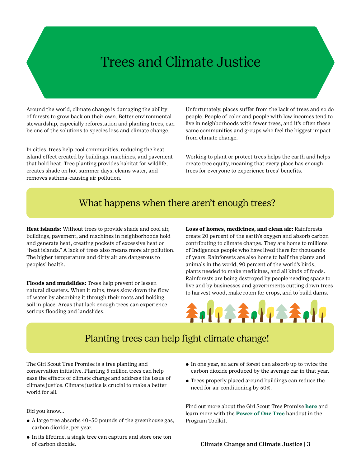## Trees and Climate Justice

Around the world, climate change is damaging the ability of forests to grow back on their own. Better environmental stewardship, especially reforestation and planting trees, can be one of the solutions to species loss and climate change.

In cities, trees help cool communities, reducing the heat island effect created by buildings, machines, and pavement that hold heat. Tree planting provides habitat for wildlife, creates shade on hot summer days, cleans water, and removes asthma-causing air pollution.

Unfortunately, places suffer from the lack of trees and so do people. People of color and people with low incomes tend to live in neighborhoods with fewer trees, and it's often these same communities and groups who feel the biggest impact from climate change.

Working to plant or protect trees helps the earth and helps create tree equity, meaning that every place has enough trees for everyone to experience trees' benefits.

#### What happens when there aren't enough trees?

**Heat islands:** Without trees to provide shade and cool air, buildings, pavement, and machines in neighborhoods hold and generate heat, creating pockets of excessive heat or "heat islands." A lack of trees also means more air pollution. The higher temperature and dirty air are dangerous to peoples' health.

**Floods and mudslides:** Trees help prevent or lessen natural disasters. When it rains, trees slow down the flow of water by absorbing it through their roots and holding soil in place. Areas that lack enough trees can experience serious flooding and landslides.

**Loss of homes, medicines, and clean air:** Rainforests create 20 percent of the earth's oxygen and absorb carbon contributing to climate change. They are home to millions of Indigenous people who have lived there for thousands of years. Rainforests are also home to half the plants and animals in the world, 90 percent of the world's birds, plants needed to make medicines, and all kinds of foods. Rainforests are being destroyed by people needing space to live and by businesses and governments cutting down trees to harvest wood, make room for crops, and to build dams.



## Planting trees can help fight climate change!

The Girl Scout Tree Promise is a tree planting and conservation initiative. Planting 5 million trees can help ease the effects of climate change and address the issue of climate justice. Climate justice is crucial to make a better world for all.

Did you know…

- ⚬ A large tree absorbs 40–50 pounds of the greenhouse gas, carbon dioxide, per year.
- ⚬ In its lifetime, a single tree can capture and store one ton of carbon dioxide.
- ⚬ In one year, an acre of forest can absorb up to twice the carbon dioxide produced by the average car in that year.
- ⚬ Trees properly placed around buildings can reduce the need for air conditioning by 50%.

Find out more about the Girl Scout Tree Promise **[here](https://www.girlscouts.org/en/activities-for-girls/for-every-girl/tree-promise.html)** and learn more with the **[Power of One Tree](https://www.girlscouts.org//content/dam/gsusa/forms-and-documents/activity-zone/national-service-projects/GSUSA_EWVP_NSP_Tree-Promise_Power-Of-One-Tree.pdf)** handout in the Program Toolkit.

Climate Change and Climate Justice | 3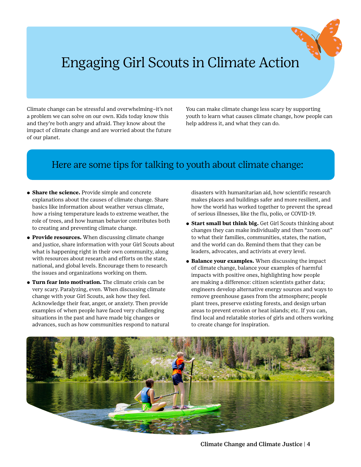# Engaging Girl Scouts in Climate Action

Climate change can be stressful and overwhelming–it's not a problem we can solve on our own. Kids today know this and they're both angry and afraid. They know about the impact of climate change and are worried about the future of our planet.

You can make climate change less scary by supporting youth to learn what causes climate change, how people can help address it, and what they can do.

#### Here are some tips for talking to youth about climate change:

- ⚬ **Share the science.** Provide simple and concrete explanations about the causes of climate change. Share basics like information about weather versus climate, how a rising temperature leads to extreme weather, the role of trees, and how human behavior contributes both to creating and preventing climate change.
- ⚬ **Provide resources.** When discussing climate change and justice, share information with your Girl Scouts about what is happening right in their own community, along with resources about research and efforts on the state, national, and global levels. Encourage them to research the issues and organizations working on them.
- ⚬ **Turn fear into motivation.** The climate crisis can be very scary. Paralyzing, even. When discussing climate change with your Girl Scouts, ask how they feel. Acknowledge their fear, anger, or anxiety. Then provide examples of when people have faced very challenging situations in the past and have made big changes or advances, such as how communities respond to natural

disasters with humanitarian aid, how scientific research makes places and buildings safer and more resilient, and how the world has worked together to prevent the spread of serious illnesses, like the flu, polio, or COVID-19.

- ⚬ **Start small but think big.** Get Girl Scouts thinking about changes they can make individually and then "zoom out" to what their families, communities, states, the nation, and the world can do. Remind them that they can be leaders, advocates, and activists at every level.
- ⚬ **Balance your examples.** When discussing the impact of climate change, balance your examples of harmful impacts with positive ones, highlighting how people are making a difference: citizen scientists gather data; engineers develop alternative energy sources and ways to remove greenhouse gases from the atmosphere; people plant trees, preserve existing forests, and design urban areas to prevent erosion or heat islands; etc. If you can, find local and relatable stories of girls and others working to create change for inspiration.